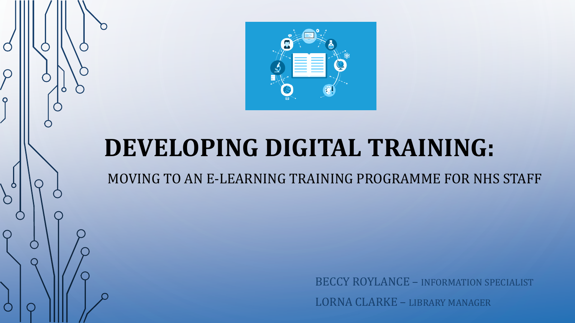

 $\mathcal{L}$ 

 $\overline{Q}$ 

 $\mathbf{\circ}$ 

 $\sum$ 

# **DEVELOPING DIGITAL TRAINING:**

MOVING TO AN E-LEARNING TRAINING PROGRAMME FOR NHS STAFF

BECCY ROYLANCE – INFORMATION SPECIALIST LORNA CLARKE – LIBRARY MANAGER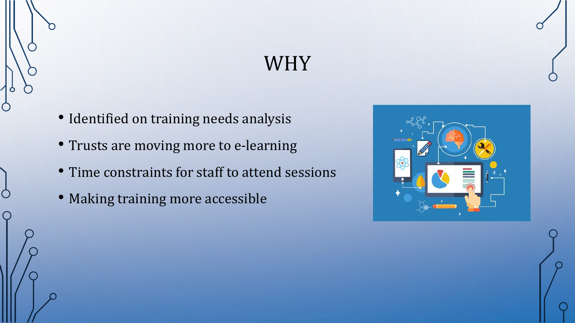## WHY

- Identified on training needs analysis
- Trusts are moving more to e-learning
- Time constraints for staff to attend sessions
- Making training more accessible

 $\subset$ 

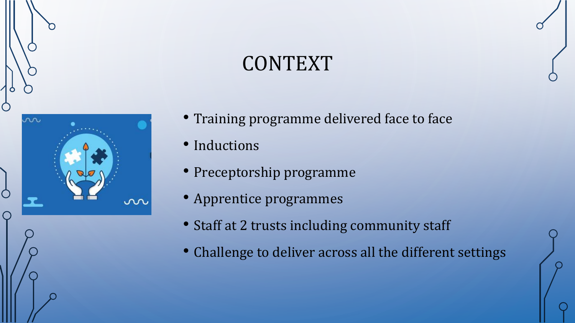# CONTEXT



- Training programme delivered face to face
- Inductions
- Preceptorship programme
- Apprentice programmes
- Staff at 2 trusts including community staff
- Challenge to deliver across all the different settings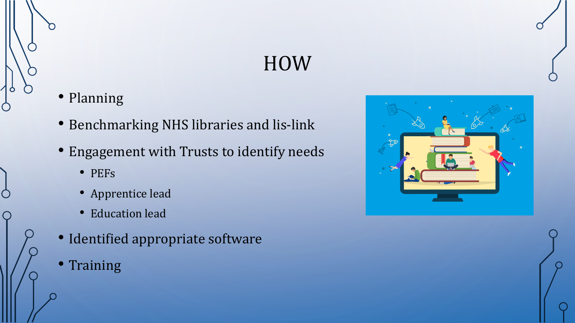# HOW

• Planning

Ò

 $\bigcap$ 

- Benchmarking NHS libraries and lis-link
- Engagement with Trusts to identify needs
	- PEFs
	- Apprentice lead
	- Education lead
- Identified appropriate software
- **Training**

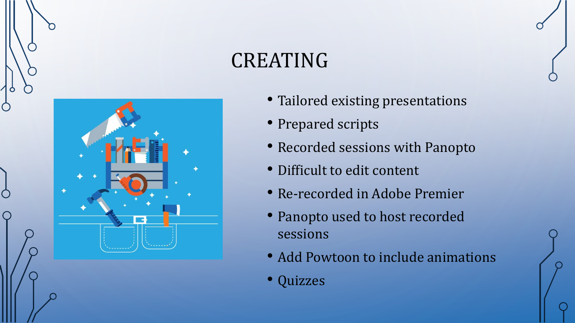# CREATING



- Tailored existing presentations
- Prepared scripts
- Recorded sessions with Panopto
- Difficult to edit content
- Re-recorded in Adobe Premier
- Panopto used to host recorded sessions
- Add Powtoon to include animations
- Quizzes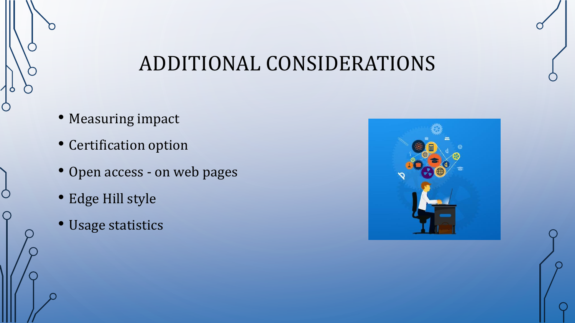#### ADDITIONAL CONSIDERATIONS

• Measuring impact

O

 $\bigcirc$ 

- Certification option
- Open access on web pages
- Edge Hill style
- Usage statistics

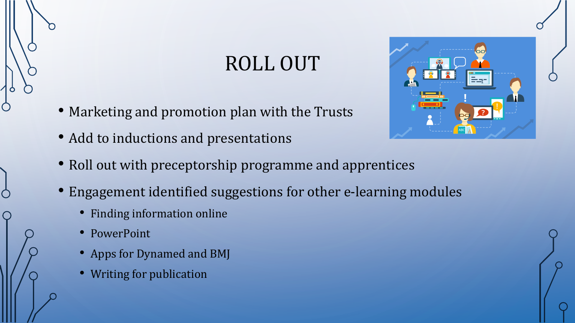# ROLL OUT

- Marketing and promotion plan with the Trusts
- Add to inductions and presentations
- Roll out with preceptorship programme and apprentices
- Engagement identified suggestions for other e-learning modules
	- Finding information online
	- PowerPoint
	- Apps for Dynamed and BMJ
	- Writing for publication

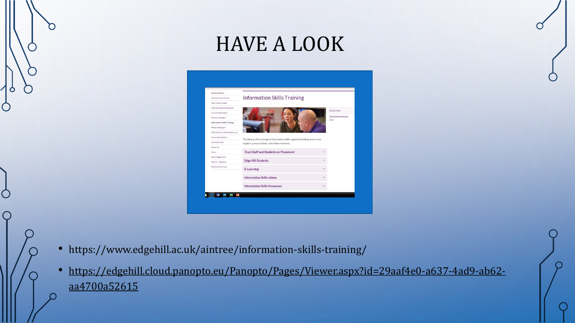## HAVE A LOOK

| Aintree Library                    |                                                                                |              |                                         |
|------------------------------------|--------------------------------------------------------------------------------|--------------|-----------------------------------------|
| Membership & Access                | <b>Information Skills Training</b>                                             |              |                                         |
| Inter Library Loans                |                                                                                |              |                                         |
| Literature Search Requests         |                                                                                |              |                                         |
| Current Awareness                  |                                                                                |              | Quick Links                             |
| Library Catalogue                  |                                                                                |              | <b>Training Session Request</b><br>Eorm |
| <b>Information Skills Training</b> |                                                                                |              |                                         |
| Research Support                   |                                                                                |              |                                         |
| NHS Athens & Online Resources      |                                                                                |              |                                         |
| Nurse Revalidation                 | The library offers a range of information skills support including; one-to-one |              |                                         |
| <b>Opening Times</b>               | support, group sessions, and online resources.                                 |              |                                         |
| About Us                           |                                                                                |              |                                         |
| News.                              | <b>Trust Staff and Students on Placement</b>                                   | $\checkmark$ |                                         |
| <b>Book Suggestions</b>            |                                                                                |              |                                         |
| Ask Us - Enquiries                 | <b>Edge Hill Students</b>                                                      | $\checkmark$ |                                         |
| Point of Care Tools                | <b>E-Learning</b>                                                              | v            |                                         |
|                                    | <b>Information Skills videos</b>                                               |              |                                         |
|                                    | <b>Information Skills Resources</b>                                            |              |                                         |

- https://www.edgehill.ac.uk/aintree/information-skills-training/
- https://edgehill.cloud.panopto.eu/Panopto/Pages/Viewer.aspx?id=29aaf4e0-a637-4ad9-ab62 aa4700a52615